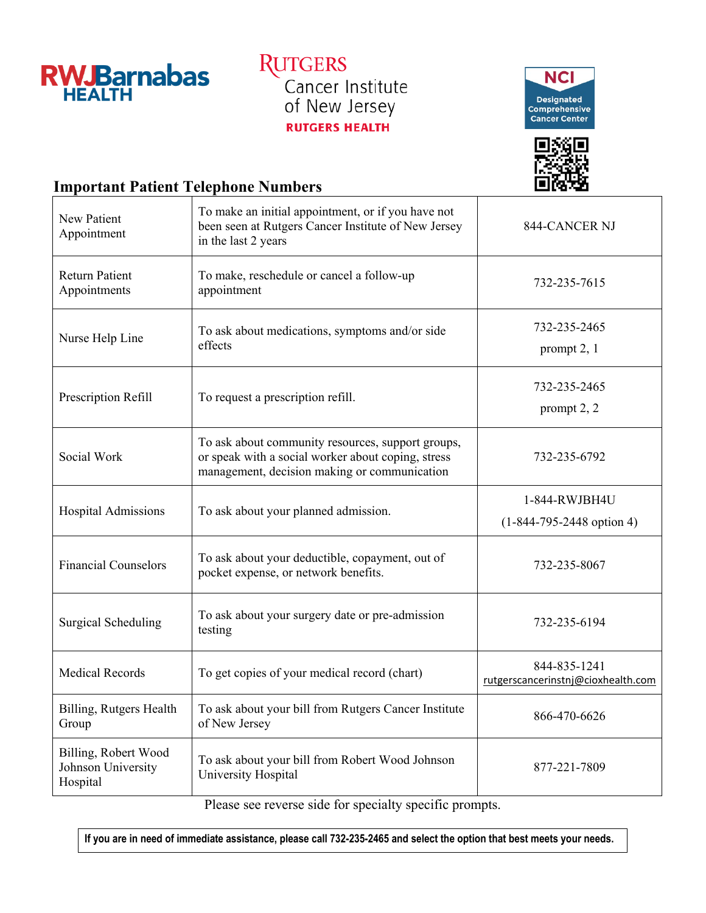

**RUTGERS** Cancer Institute<br>of New Jersey **RUTGERS HEALTH** 





## **Important Patient Telephone Numbers**

| <b>New Patient</b><br>Appointment                      | To make an initial appointment, or if you have not<br>been seen at Rutgers Cancer Institute of New Jersey<br>in the last 2 years                        | 844-CANCER NJ                                      |
|--------------------------------------------------------|---------------------------------------------------------------------------------------------------------------------------------------------------------|----------------------------------------------------|
| <b>Return Patient</b><br>Appointments                  | To make, reschedule or cancel a follow-up<br>appointment                                                                                                | 732-235-7615                                       |
| Nurse Help Line                                        | To ask about medications, symptoms and/or side<br>effects                                                                                               | 732-235-2465<br>prompt 2, 1                        |
| Prescription Refill                                    | To request a prescription refill.                                                                                                                       | 732-235-2465<br>prompt $2, 2$                      |
| Social Work                                            | To ask about community resources, support groups,<br>or speak with a social worker about coping, stress<br>management, decision making or communication | 732-235-6792                                       |
| Hospital Admissions                                    | To ask about your planned admission.                                                                                                                    | 1-844-RWJBH4U<br>$(1-844-795-2448$ option 4)       |
| <b>Financial Counselors</b>                            | To ask about your deductible, copayment, out of<br>pocket expense, or network benefits.                                                                 | 732-235-8067                                       |
| <b>Surgical Scheduling</b>                             | To ask about your surgery date or pre-admission<br>testing                                                                                              | 732-235-6194                                       |
| <b>Medical Records</b>                                 | To get copies of your medical record (chart)                                                                                                            | 844-835-1241<br>rutgerscancerinstnj@cioxhealth.com |
| Billing, Rutgers Health<br>Group                       | To ask about your bill from Rutgers Cancer Institute<br>of New Jersey                                                                                   | 866-470-6626                                       |
| Billing, Robert Wood<br>Johnson University<br>Hospital | To ask about your bill from Robert Wood Johnson<br>University Hospital                                                                                  | 877-221-7809                                       |

Please see reverse side for specialty specific prompts.

**If you are in need of immediate assistance, please call 732-235-2465 and select the option that best meets your needs.**